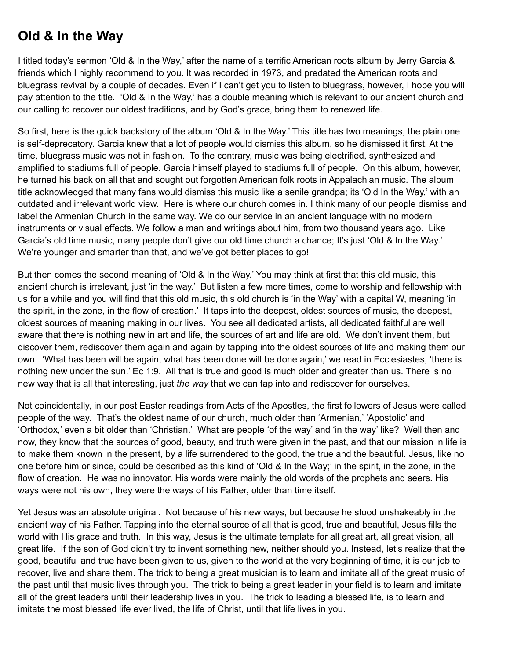## **Old & In the Way**

I titled today's sermon 'Old & In the Way,' after the name of a terrific American roots album by Jerry Garcia & friends which I highly recommend to you. It was recorded in 1973, and predated the American roots and bluegrass revival by a couple of decades. Even if I can't get you to listen to bluegrass, however, I hope you will pay attention to the title. 'Old & In the Way,' has a double meaning which is relevant to our ancient church and our calling to recover our oldest traditions, and by God's grace, bring them to renewed life.

So first, here is the quick backstory of the album 'Old & In the Way.' This title has two meanings, the plain one is self-deprecatory. Garcia knew that a lot of people would dismiss this album, so he dismissed it first. At the time, bluegrass music was not in fashion. To the contrary, music was being electrified, synthesized and amplified to stadiums full of people. Garcia himself played to stadiums full of people. On this album, however, he turned his back on all that and sought out forgotten American folk roots in Appalachian music. The album title acknowledged that many fans would dismiss this music like a senile grandpa; its 'Old In the Way,' with an outdated and irrelevant world view. Here is where our church comes in. I think many of our people dismiss and label the Armenian Church in the same way. We do our service in an ancient language with no modern instruments or visual effects. We follow a man and writings about him, from two thousand years ago. Like Garcia's old time music, many people don't give our old time church a chance; It's just 'Old & In the Way.' We're younger and smarter than that, and we've got better places to go!

But then comes the second meaning of 'Old & In the Way.' You may think at first that this old music, this ancient church is irrelevant, just 'in the way.' But listen a few more times, come to worship and fellowship with us for a while and you will find that this old music, this old church is 'in the Way' with a capital W, meaning 'in the spirit, in the zone, in the flow of creation.' It taps into the deepest, oldest sources of music, the deepest, oldest sources of meaning making in our lives. You see all dedicated artists, all dedicated faithful are well aware that there is nothing new in art and life, the sources of art and life are old. We don't invent them, but discover them, rediscover them again and again by tapping into the oldest sources of life and making them our own. 'What has been will be again, what has been done will be done again,' we read in Ecclesiastes, 'there is nothing new under the sun.' Ec 1:9. All that is true and good is much older and greater than us. There is no new way that is all that interesting, just *the way* that we can tap into and rediscover for ourselves.

Not coincidentally, in our post Easter readings from Acts of the Apostles, the first followers of Jesus were called people of the way. That's the oldest name of our church, much older than 'Armenian,' 'Apostolic' and 'Orthodox,' even a bit older than 'Christian.' What are people 'of the way' and 'in the way' like? Well then and now, they know that the sources of good, beauty, and truth were given in the past, and that our mission in life is to make them known in the present, by a life surrendered to the good, the true and the beautiful. Jesus, like no one before him or since, could be described as this kind of 'Old & In the Way;' in the spirit, in the zone, in the flow of creation. He was no innovator. His words were mainly the old words of the prophets and seers. His ways were not his own, they were the ways of his Father, older than time itself.

Yet Jesus was an absolute original. Not because of his new ways, but because he stood unshakeably in the ancient way of his Father. Tapping into the eternal source of all that is good, true and beautiful, Jesus fills the world with His grace and truth. In this way, Jesus is the ultimate template for all great art, all great vision, all great life. If the son of God didn't try to invent something new, neither should you. Instead, let's realize that the good, beautiful and true have been given to us, given to the world at the very beginning of time, it is our job to recover, live and share them. The trick to being a great musician is to learn and imitate all of the great music of the past until that music lives through you. The trick to being a great leader in your field is to learn and imitate all of the great leaders until their leadership lives in you. The trick to leading a blessed life, is to learn and imitate the most blessed life ever lived, the life of Christ, until that life lives in you.